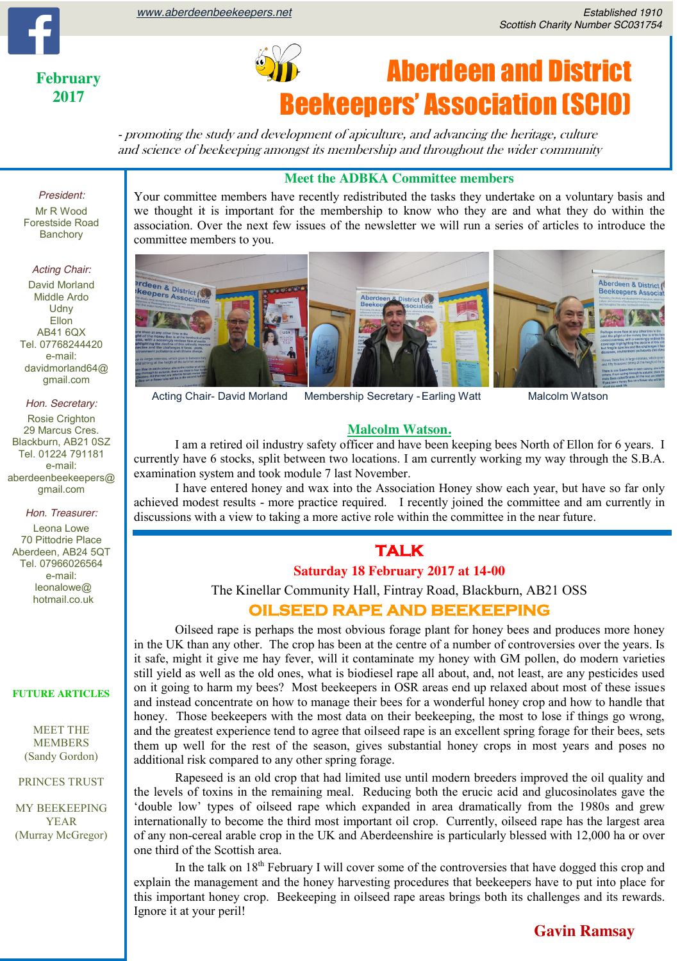**February 2017**



# Aberdeen and District Beekeepers' Association (SCIO)

- promoting the study and development of apiculture, and advancing the heritage, culture and science of beekeeping amongst its membership and throughout the wider community

#### **Meet the ADBKA Committee members**

we thought it is important for the membership to know who they are and what they do within the Your committee members have recently redistributed the tasks they undertake on a voluntary basis and association. Over the next few issues of the newsletter we will run a series of articles to introduce the committee members to you.



Acting Chair- David Morland Membership Secretary -Earling Watt Malcolm Watson

#### **Malcolm Watson.**

I am a retired oil industry safety officer and have been keeping bees North of Ellon for 6 years. I currently have 6 stocks, split between two locations. I am currently working my way through the S.B.A. examination system and took module 7 last November.

I have entered honey and wax into the Association Honey show each year, but have so far only achieved modest results - more practice required. I recently joined the committee and am currently in discussions with a view to taking a more active role within the committee in the near future.

#### **TALK**

#### **Saturday 18 February 2017 at 14-00**

The Kinellar Community Hall, Fintray Road, Blackburn, AB21 OSS

#### **OILSEED RAPE AND BEEKEEPING**

Oilseed rape is perhaps the most obvious forage plant for honey bees and produces more honey in the UK than any other. The crop has been at the centre of a number of controversies over the years. Is it safe, might it give me hay fever, will it contaminate my honey with GM pollen, do modern varieties still yield as well as the old ones, what is biodiesel rape all about, and, not least, are any pesticides used on it going to harm my bees? Most beekeepers in OSR areas end up relaxed about most of these issues and instead concentrate on how to manage their bees for a wonderful honey crop and how to handle that honey. Those beekeepers with the most data on their beekeeping, the most to lose if things go wrong, and the greatest experience tend to agree that oilseed rape is an excellent spring forage for their bees, sets them up well for the rest of the season, gives substantial honey crops in most years and poses no additional risk compared to any other spring forage.

Rapeseed is an old crop that had limited use until modern breeders improved the oil quality and the levels of toxins in the remaining meal. Reducing both the erucic acid and glucosinolates gave the 'double low' types of oilseed rape which expanded in area dramatically from the 1980s and grew internationally to become the third most important oil crop. Currently, oilseed rape has the largest area of any non-cereal arable crop in the UK and Aberdeenshire is particularly blessed with 12,000 ha or over one third of the Scottish area.

In the talk on 18<sup>th</sup> February I will cover some of the controversies that have dogged this crop and explain the management and the honey harvesting procedures that beekeepers have to put into place for this important honey crop. Beekeeping in oilseed rape areas brings both its challenges and its rewards. Ignore it at your peril!

### *President:*

Mr R Wood Forestside Road **Banchory** 

#### *Acting Chair:*

David Morland Middle Ardo **Udny Ellon** AB41 6QX Tel. 07768244420 e-mail: davidmorland64@ gmail.com

*Hon. Secretary:* Rosie Crighton 29 Marcus Cres. Blackburn, AB21 0SZ Tel. 01224 791181 e-mail: aberdeenbeekeepers@ gmail.com

*Hon. Treasurer:*

Leona Lowe 70 Pittodrie Place Aberdeen, AB24 5QT Tel. 07966026564 e-mail: leonalowe@ hotmail.co.uk

#### **FUTURE ARTICLES**

MEET THE MEMBERS (Sandy Gordon)

PRINCES TRUST

MY BEEKEEPING YEAR (Murray McGregor)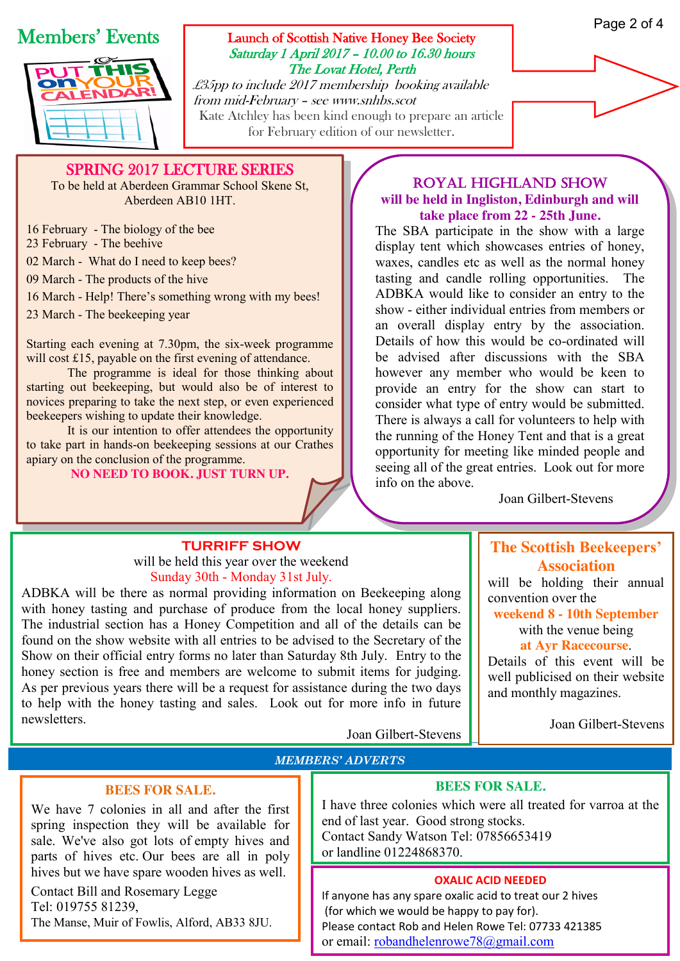#### Page 2 of 4

# Members' Events



#### Launch of Scottish Native Honey Bee Society Saturday 1 April 2017 – 10.00 to 16.30 hours The Lovat Hotel, Perth

£35pp to include 2017 membership booking available from mid-February – see www.snhbs.scot Kate Atchley has been kind enough to prepare an article for February edition of our newsletter.

SPRING 2017 LECTURE SERIES To be held at Aberdeen Grammar School Skene St,

Aberdeen AB10 1HT.

16 February - The biology of the bee

23 February - The beehive

02 March - What do I need to keep bees?

09 March - The products of the hive

16 March - Help! There's something wrong with my bees!

23 March - The beekeeping year

Starting each evening at 7.30pm, the six-week programme will cost £15, payable on the first evening of attendance.

The programme is ideal for those thinking about starting out beekeeping, but would also be of interest to novices preparing to take the next step, or even experienced beekeepers wishing to update their knowledge.

It is our intention to offer attendees the opportunity to take part in hands-on beekeeping sessions at our Crathes apiary on the conclusion of the programme.

**NO NEED TO BOOK. JUST TURN UP.**

#### royal highland show **will be held in Ingliston, Edinburgh and will take place from 22 - 25th June.**

The SBA participate in the show with a large display tent which showcases entries of honey, waxes, candles etc as well as the normal honey tasting and candle rolling opportunities. The ADBKA would like to consider an entry to the show - either individual entries from members or an overall display entry by the association. Details of how this would be co-ordinated will be advised after discussions with the SBA however any member who would be keen to provide an entry for the show can start to consider what type of entry would be submitted. There is always a call for volunteers to help with the running of the Honey Tent and that is a great opportunity for meeting like minded people and seeing all of the great entries. Look out for more info on the above.

Joan Gilbert-Stevens

#### **TURRIFF SHOW** will be held this year over the weekend

Sunday 30th - Monday 31st July.

ADBKA will be there as normal providing information on Beekeeping along with honey tasting and purchase of produce from the local honey suppliers. The industrial section has a Honey Competition and all of the details can be found on the show website with all entries to be advised to the Secretary of the Show on their official entry forms no later than Saturday 8th July. Entry to the honey section is free and members are welcome to submit items for judging. As per previous years there will be a request for assistance during the two days to help with the honey tasting and sales. Look out for more info in future newsletters.

Joan Gilbert-Stevens

## **The Scottish Beekeepers' Association**

will be holding their annual convention over the

**weekend 8 - 10th September** with the venue being

**at Ayr Racecourse**.

Details of this event will be well publicised on their website and monthly magazines.

Joan Gilbert-Stevens

#### *MEMBERS' ADVERTS*

#### **BEES FOR SALE.**

We have 7 colonies in all and after the first spring inspection they will be available for sale. We've also got lots of empty hives and parts of hives etc. Our bees are all in poly hives but we have spare wooden hives as well.

Contact Bill and Rosemary Legge Tel: 019755 81239, The Manse, Muir of Fowlis, Alford, AB33 8JU.

#### **BEES FOR SALE.**

I have three colonies which were all treated for varroa at the end of last year. Good strong stocks. Contact Sandy Watson Tel: 07856653419 or landline 01224868370.

#### **OXALIC ACID NEEDED**

If anyone has any spare oxalic acid to treat our 2 hives (for which we would be happy to pay for). Please contact Rob and Helen Rowe Tel: 07733 421385 or email: [robandhelenrowe78@gmail.com](mailto:robandhelenrowe78@gmail.com)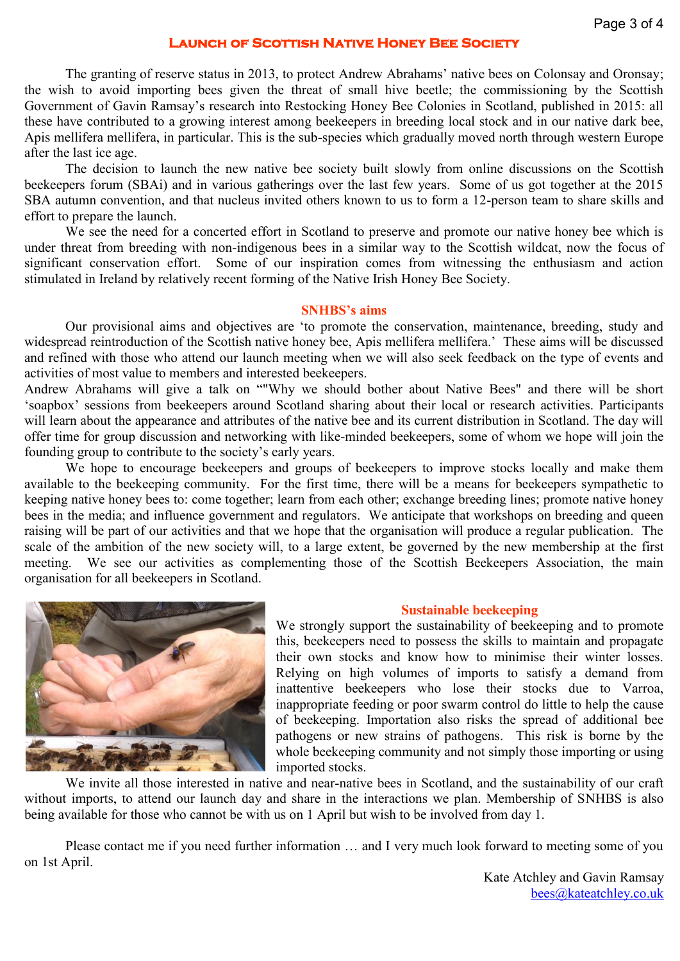#### **Launch of Scottish Native Honey Bee Society**

The granting of reserve status in 2013, to protect Andrew Abrahams' native bees on Colonsay and Oronsay; the wish to avoid importing bees given the threat of small hive beetle; the commissioning by the Scottish Government of Gavin Ramsay's research into Restocking Honey Bee Colonies in Scotland, published in 2015: all these have contributed to a growing interest among beekeepers in breeding local stock and in our native dark bee, Apis mellifera mellifera, in particular. This is the sub-species which gradually moved north through western Europe after the last ice age.

The decision to launch the new native bee society built slowly from online discussions on the Scottish beekeepers forum (SBAi) and in various gatherings over the last few years. Some of us got together at the 2015 SBA autumn convention, and that nucleus invited others known to us to form a 12-person team to share skills and effort to prepare the launch.

We see the need for a concerted effort in Scotland to preserve and promote our native honey bee which is under threat from breeding with non-indigenous bees in a similar way to the Scottish wildcat, now the focus of significant conservation effort. Some of our inspiration comes from witnessing the enthusiasm and action stimulated in Ireland by relatively recent forming of the Native Irish Honey Bee Society.

#### **SNHBS's aims**

Our provisional aims and objectives are 'to promote the conservation, maintenance, breeding, study and widespread reintroduction of the Scottish native honey bee, Apis mellifera mellifera.' These aims will be discussed and refined with those who attend our launch meeting when we will also seek feedback on the type of events and activities of most value to members and interested beekeepers.

Andrew Abrahams will give a talk on ""Why we should bother about Native Bees" and there will be short 'soapbox' sessions from beekeepers around Scotland sharing about their local or research activities. Participants will learn about the appearance and attributes of the native bee and its current distribution in Scotland. The day will offer time for group discussion and networking with like-minded beekeepers, some of whom we hope will join the founding group to contribute to the society's early years.

We hope to encourage beekeepers and groups of beekeepers to improve stocks locally and make them available to the beekeeping community. For the first time, there will be a means for beekeepers sympathetic to keeping native honey bees to: come together; learn from each other; exchange breeding lines; promote native honey bees in the media; and influence government and regulators. We anticipate that workshops on breeding and queen raising will be part of our activities and that we hope that the organisation will produce a regular publication. The scale of the ambition of the new society will, to a large extent, be governed by the new membership at the first meeting. We see our activities as complementing those of the Scottish Beekeepers Association, the main organisation for all beekeepers in Scotland.



#### **Sustainable beekeeping**

We strongly support the sustainability of beekeeping and to promote this, beekeepers need to possess the skills to maintain and propagate their own stocks and know how to minimise their winter losses. Relying on high volumes of imports to satisfy a demand from inattentive beekeepers who lose their stocks due to Varroa, inappropriate feeding or poor swarm control do little to help the cause of beekeeping. Importation also risks the spread of additional bee pathogens or new strains of pathogens. This risk is borne by the whole beekeeping community and not simply those importing or using imported stocks.

We invite all those interested in native and near-native bees in Scotland, and the sustainability of our craft without imports, to attend our launch day and share in the interactions we plan. Membership of SNHBS is also being available for those who cannot be with us on 1 April but wish to be involved from day 1.

Please contact me if you need further information … and I very much look forward to meeting some of you on 1st April.